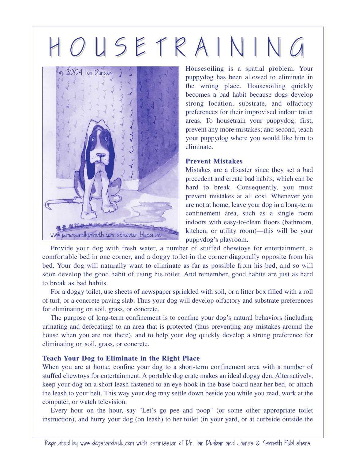## H O U S E T R A I N I N G



Housesoiling is a spatial problem. Your puppydog has been allowed to eliminate in the wrong place. Housesoiling quickly becomes a bad habit because dogs develop strong location, substrate, and olfactory preferences for their improvised indoor toilet areas. To housetrain your puppydog: first, prevent any more mistakes; and second, teach your puppydog where you would like him to eliminate.

## **Prevent Mistakes**

Mistakes are a disaster since they set a bad precedent and create bad habits, which can be hard to break. Consequently, you must prevent mistakes at all cost. Whenever you are not at home, leave your dog in a long-term confinement area, such as a single room indoors with easy-to-clean floors (bathroom, kitchen, or utility room)—this will be your puppydog's playroom.

Provide your dog with fresh water, a number of stuffed chewtoys for entertainment, a comfortable bed in one corner, and a doggy toilet in the corner diagonally opposite from his bed. Your dog will naturally want to eliminate as far as possible from his bed, and so will soon develop the good habit of using his toilet. And remember, good habits are just as hard to break as bad habits.

For a doggy toilet, use sheets of newspaper sprinkled with soil, or a litter box filled with a roll of turf, or a concrete paving slab. Thus your dog will develop olfactory and substrate preferences for eliminating on soil, grass, or concrete.

The purpose of long-term confinement is to confine your dog's natural behaviors (including urinating and defecating) to an area that is protected (thus preventing any mistakes around the house when you are not there), and to help your dog quickly develop a strong preference for eliminating on soil, grass, or concrete.

## **Teach Your Dog to Eliminate in the Right Place**

When you are at home, confine your dog to a short-term confinement area with a number of stuffed chewtoys for entertainment. A portable dog crate makes an ideal doggy den. Alternatively, keep your dog on a short leash fastened to an eye-hook in the base board near her bed, or attach the leash to your belt. This way your dog may settle down beside you while you read, work at the computer, or watch television.

Every hour on the hour, say "Let's go pee and poop" (or some other appropriate toilet instruction), and hurry your dog (on leash) to her toilet (in your yard, or at curbside outside the